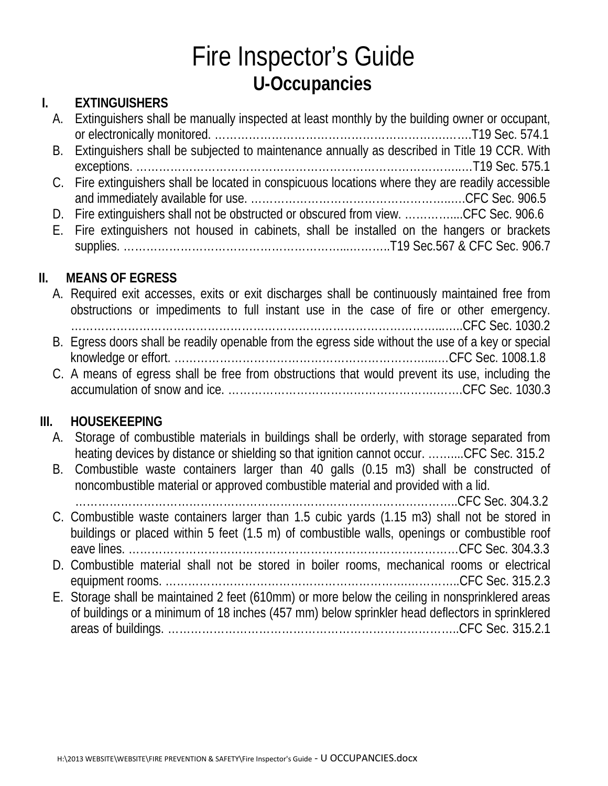# Fire Inspector's Guide **U-Occupancies**

## **I. EXTINGUISHERS**

| A. Extinguishers shall be manually inspected at least monthly by the building owner or occupant,  |
|---------------------------------------------------------------------------------------------------|
|                                                                                                   |
| B. Extinguishers shall be subjected to maintenance annually as described in Title 19 CCR. With    |
|                                                                                                   |
| C. Fire extinguishers shall be located in conspicuous locations where they are readily accessible |
|                                                                                                   |
| D. Fire extinguishers shall not be obstructed or obscured from view. CFC Sec. 906.6               |
| E. Fire extinguishers not housed in cabinets, shall be installed on the hangers or brackets       |
|                                                                                                   |

### **II. MEANS OF EGRESS**

| A. Required exit accesses, exits or exit discharges shall be continuously maintained free from     |
|----------------------------------------------------------------------------------------------------|
| obstructions or impediments to full instant use in the case of fire or other emergency.            |
|                                                                                                    |
| B. Egress doors shall be readily openable from the egress side without the use of a key or special |
|                                                                                                    |
| C. A means of egress shall be free from obstructions that would prevent its use, including the     |
|                                                                                                    |

### **III. HOUSEKEEPING**

- A. Storage of combustible materials in buildings shall be orderly, with storage separated from heating devices by distance or shielding so that ignition cannot occur. ……....CFC Sec. 315.2
- B. Combustible waste containers larger than 40 galls (0.15 m3) shall be constructed of noncombustible material or approved combustible material and provided with a lid.

………………………………………………………………………………………..CFC Sec. 304.3.2 C. Combustible waste containers larger than 1.5 cubic yards (1.15 m3) shall not be stored in buildings or placed within 5 feet (1.5 m) of combustible walls, openings or combustible roof eave lines. ……………………………………………………………………………CFC Sec. 304.3.3 D. Combustible material shall not be stored in boiler rooms, mechanical rooms or electrical equipment rooms. ……………………………………………………….…………..CFC Sec. 315.2.3 E. Storage shall be maintained 2 feet (610mm) or more below the ceiling in nonsprinklered areas of buildings or a minimum of 18 inches (457 mm) below sprinkler head deflectors in sprinklered areas of buildings. …………………………………………………………………..CFC Sec. 315.2.1